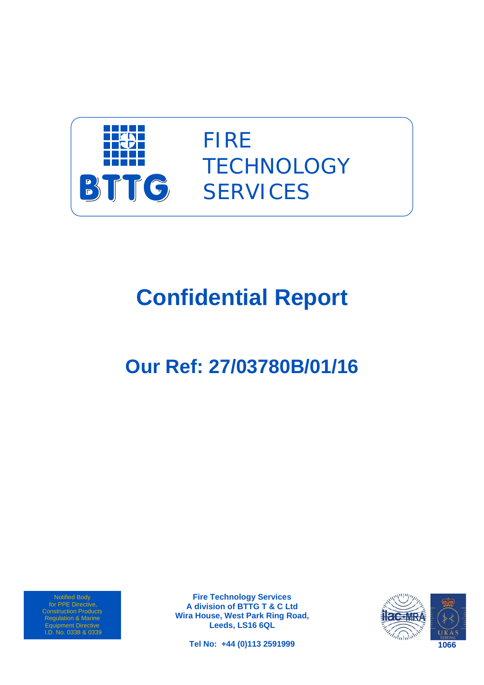

FIRE **TECHNOLOGY SERVICES** 

# **Confidential Report**

## **Our Ref: 27/03780B/01/16**

Notified Body for PPE Directive, Regulation & Marine Equipment Directive I.D. No. 0338 & 0339

**Fire Technology Services A division of BTTG T & C Ltd Wira House, West Park Ring Road, Leeds, LS16 6QL** 

**Tel No: +44 (0)113 2591999** 

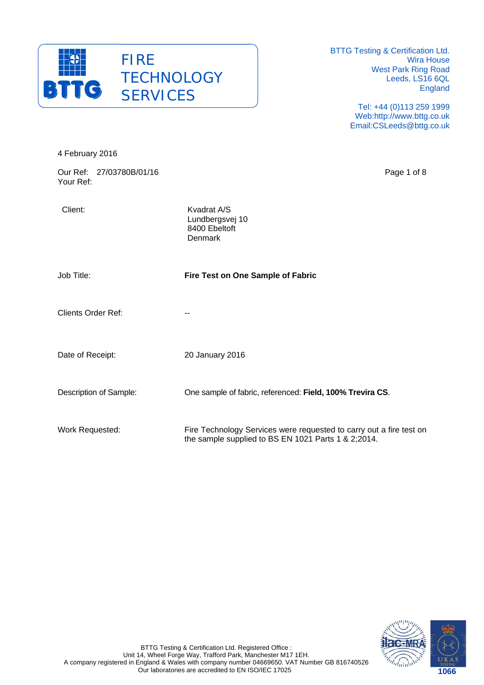

> Tel: +44 (0)113 259 1999 Web:http://www.bttg.co.uk Email:CSLeeds@bttg.co.uk

| 4 February 2016                       |                                                                                                                            |
|---------------------------------------|----------------------------------------------------------------------------------------------------------------------------|
| Our Ref: 27/03780B/01/16<br>Your Ref: | Page 1 of 8                                                                                                                |
| Client:                               | Kvadrat A/S<br>Lundbergsvej 10<br>8400 Ebeltoft<br>Denmark                                                                 |
| Job Title:                            | Fire Test on One Sample of Fabric                                                                                          |
| <b>Clients Order Ref:</b>             | --                                                                                                                         |
| Date of Receipt:                      | 20 January 2016                                                                                                            |
| Description of Sample:                | One sample of fabric, referenced: Field, 100% Trevira CS.                                                                  |
| Work Requested:                       | Fire Technology Services were requested to carry out a fire test on<br>the sample supplied to BS EN 1021 Parts 1 & 2;2014. |

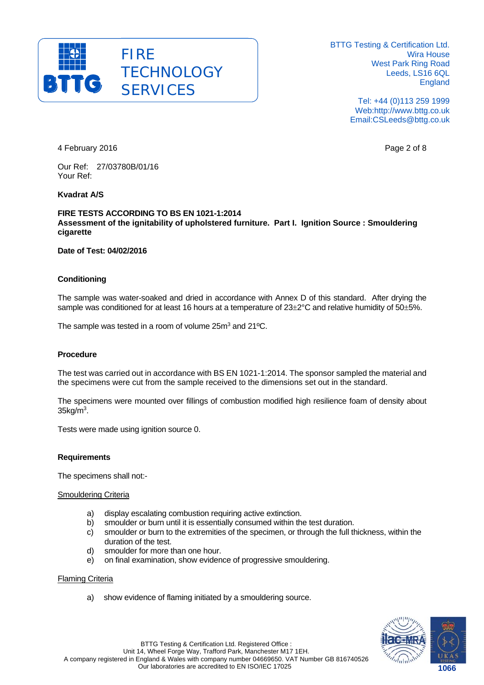

> Tel: +44 (0)113 259 1999 Web:http://www.bttg.co.uk Email:CSLeeds@bttg.co.uk

4 February 2016 Page 2 of 8

Our Ref: 27/03780B/01/16 Your Ref:

#### **Kvadrat A/S**

#### **FIRE TESTS ACCORDING TO BS EN 1021-1:2014 Assessment of the ignitability of upholstered furniture. Part I. Ignition Source : Smouldering cigarette**

#### **Date of Test: 04/02/2016**

#### **Conditioning**

The sample was water-soaked and dried in accordance with Annex D of this standard. After drying the sample was conditioned for at least 16 hours at a temperature of  $23\pm2\degree$ C and relative humidity of  $50\pm5\%$ .

The sample was tested in a room of volume 25m<sup>3</sup> and 21<sup>o</sup>C.

#### **Procedure**

The test was carried out in accordance with BS EN 1021-1:2014. The sponsor sampled the material and the specimens were cut from the sample received to the dimensions set out in the standard.

The specimens were mounted over fillings of combustion modified high resilience foam of density about  $35kg/m<sup>3</sup>$ .

Tests were made using ignition source 0.

#### **Requirements**

The specimens shall not:-

#### Smouldering Criteria

- a) display escalating combustion requiring active extinction.
- b) smoulder or burn until it is essentially consumed within the test duration.
- c) smoulder or burn to the extremities of the specimen, or through the full thickness, within the duration of the test.
- d) smoulder for more than one hour.
- e) on final examination, show evidence of progressive smouldering.

#### Flaming Criteria

a) show evidence of flaming initiated by a smouldering source.

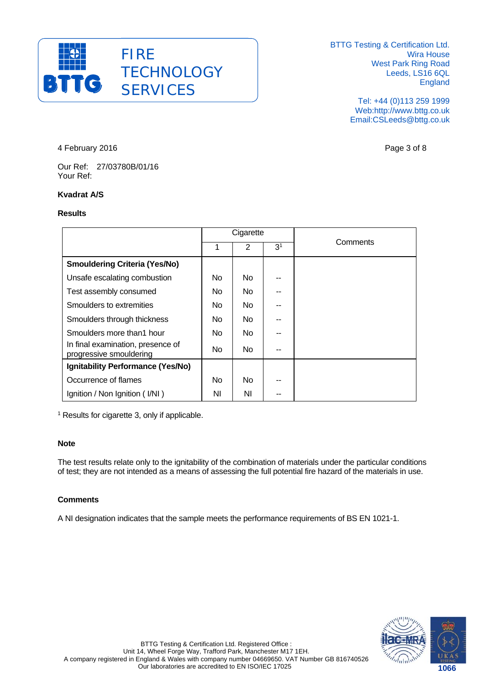

> Tel: +44 (0)113 259 1999 Web:http://www.bttg.co.uk Email:CSLeeds@bttg.co.uk

4 February 2016 Page 3 of 8

Our Ref: 27/03780B/01/16 Your Ref:

#### **Kvadrat A/S**

#### **Results**

|                                                              | Cigarette      |     |                |          |
|--------------------------------------------------------------|----------------|-----|----------------|----------|
|                                                              | 1              | 2   | 3 <sup>1</sup> | Comments |
| <b>Smouldering Criteria (Yes/No)</b>                         |                |     |                |          |
| Unsafe escalating combustion                                 | No.            | No. |                |          |
| Test assembly consumed                                       | No.            | No. |                |          |
| Smoulders to extremities                                     | No.            | No. |                |          |
| Smoulders through thickness                                  | No.            | No. |                |          |
| Smoulders more than1 hour                                    | No.            | No. |                |          |
| In final examination, presence of<br>progressive smouldering | N <sub>o</sub> | No. |                |          |
| Ignitability Performance (Yes/No)                            |                |     |                |          |
| Occurrence of flames                                         | No.            | No. |                |          |
| Ignition / Non Ignition (I/NI)                               | ΝI             | ΝI  | --             |          |

<sup>1</sup> Results for cigarette 3, only if applicable.

#### **Note**

The test results relate only to the ignitability of the combination of materials under the particular conditions of test; they are not intended as a means of assessing the full potential fire hazard of the materials in use.

#### **Comments**

A NI designation indicates that the sample meets the performance requirements of BS EN 1021-1.

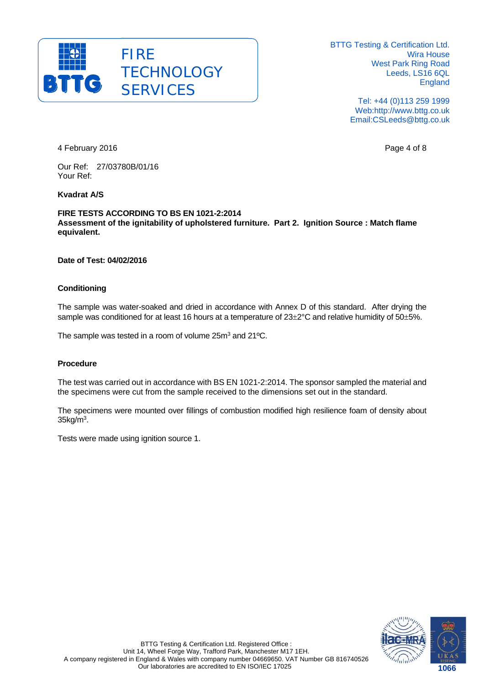

> Tel: +44 (0)113 259 1999 Web:http://www.bttg.co.uk Email:CSLeeds@bttg.co.uk

4 February 2016 **Page 4 of 8** Page 4 of 8

Our Ref: 27/03780B/01/16 Your Ref:

#### **Kvadrat A/S**

**FIRE TESTS ACCORDING TO BS EN 1021-2:2014 Assessment of the ignitability of upholstered furniture. Part 2. Ignition Source : Match flame equivalent.** 

#### **Date of Test: 04/02/2016**

#### **Conditioning**

The sample was water-soaked and dried in accordance with Annex D of this standard. After drying the sample was conditioned for at least 16 hours at a temperature of  $23\pm2\degree$ C and relative humidity of  $50\pm5\%$ .

The sample was tested in a room of volume 25m<sup>3</sup> and 21°C.

#### **Procedure**

The test was carried out in accordance with BS EN 1021-2:2014. The sponsor sampled the material and the specimens were cut from the sample received to the dimensions set out in the standard.

The specimens were mounted over fillings of combustion modified high resilience foam of density about  $35$ kg/m<sup>3</sup>.

Tests were made using ignition source 1.

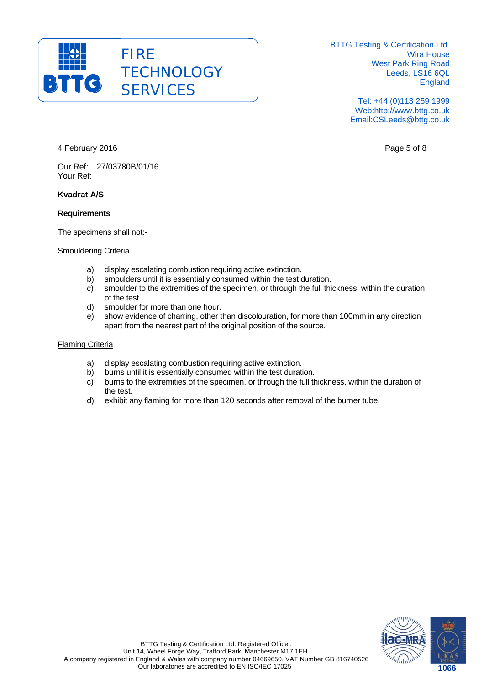

> Tel: +44 (0)113 259 1999 Web:http://www.bttg.co.uk Email:CSLeeds@bttg.co.uk

4 February 2016 Page 5 of 8

Our Ref: 27/03780B/01/16 Your Ref:

#### **Kvadrat A/S**

#### **Requirements**

The specimens shall not:-

#### Smouldering Criteria

- a) display escalating combustion requiring active extinction.
- b) smoulders until it is essentially consumed within the test duration.
- c) smoulder to the extremities of the specimen, or through the full thickness, within the duration of the test.
- d) smoulder for more than one hour.
- e) show evidence of charring, other than discolouration, for more than 100mm in any direction apart from the nearest part of the original position of the source.

#### Flaming Criteria

- a) display escalating combustion requiring active extinction.
- b) burns until it is essentially consumed within the test duration.
- c) burns to the extremities of the specimen, or through the full thickness, within the duration of the test.
- d) exhibit any flaming for more than 120 seconds after removal of the burner tube.

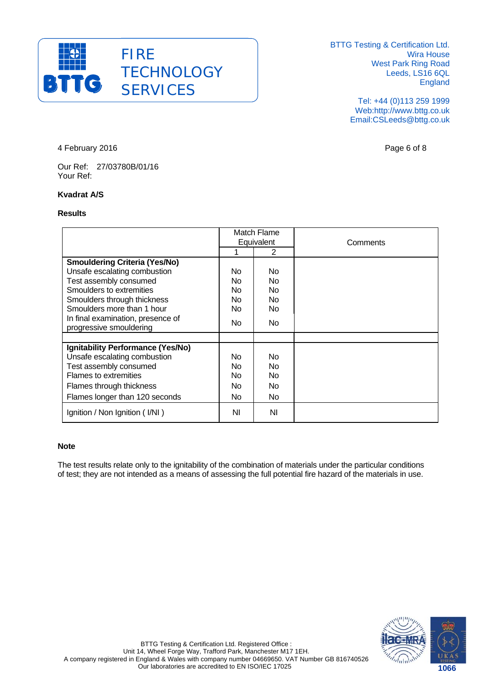

> Tel: +44 (0)113 259 1999 Web:http://www.bttg.co.uk Email:CSLeeds@bttg.co.uk

4 February 2016 **Page 6 of 8** 

Our Ref: 27/03780B/01/16 Your Ref:

#### **Kvadrat A/S**

#### **Results**

|                                                              | Match Flame<br>Equivalent |     | Comments |
|--------------------------------------------------------------|---------------------------|-----|----------|
|                                                              |                           | 2   |          |
| <b>Smouldering Criteria (Yes/No)</b>                         |                           |     |          |
| Unsafe escalating combustion                                 | No.                       | No  |          |
| Test assembly consumed                                       | No.                       | No  |          |
| Smoulders to extremities                                     | <b>No</b>                 | No. |          |
| Smoulders through thickness                                  | No.                       | No. |          |
| Smoulders more than 1 hour                                   | No.                       | No  |          |
| In final examination, presence of<br>progressive smouldering | No.                       | No. |          |
|                                                              |                           |     |          |
| Ignitability Performance (Yes/No)                            |                           |     |          |
| Unsafe escalating combustion                                 | No.                       | No  |          |
| Test assembly consumed                                       | <b>No</b>                 | No  |          |
| Flames to extremities                                        | No.                       | No  |          |
| Flames through thickness                                     | No.                       | No. |          |
| Flames longer than 120 seconds                               | No.                       | No. |          |
| Ignition / Non Ignition (I/NI)                               | ΝI                        | ΝI  |          |

#### **Note**

The test results relate only to the ignitability of the combination of materials under the particular conditions of test; they are not intended as a means of assessing the full potential fire hazard of the materials in use.

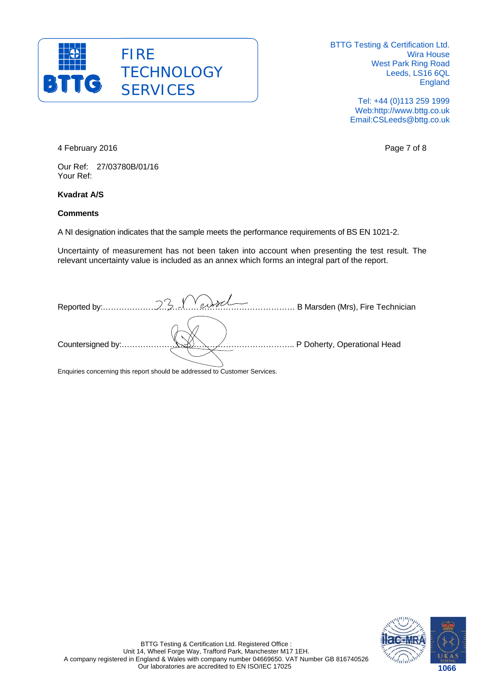

> Tel: +44 (0)113 259 1999 Web:http://www.bttg.co.uk Email:CSLeeds@bttg.co.uk

4 February 2016 **Page 7 of 8** 

Our Ref: 27/03780B/01/16 Your Ref:

#### **Kvadrat A/S**

#### **Comments**

A NI designation indicates that the sample meets the performance requirements of BS EN 1021-2.

Uncertainty of measurement has not been taken into account when presenting the test result. The relevant uncertainty value is included as an annex which forms an integral part of the report.

|                   | B Marsden (Mrs), Fire Technician |  |
|-------------------|----------------------------------|--|
|                   |                                  |  |
| Countersigned by: | P Doherty, Operational Head      |  |
|                   |                                  |  |

Enquiries concerning this report should be addressed to Customer Services.